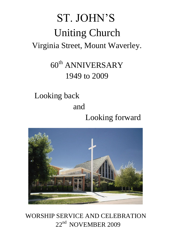# ST. JOHN'S Uniting Church Virginia Street, Mount Waverley.

## 60<sup>th</sup> ANNIVERSARY 1949 to 2009

### Looking back and

## Looking forward



### WORSHIP SERVICE AND CELEBRATION 22<sup>nd</sup> NOVEMBER 2009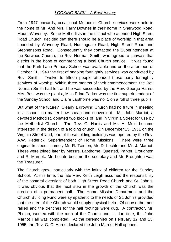#### *LOOKING BACK – A Brief History*

From 1947 onwards, occasional Methodist Church services were held in the home of Mr. And Mrs. Harry Downes in their home in Sherwood Road, Mount Waverley. Some Methodists in the district who attended High Street Road Church, decided that there should be a place of worship in that area bounded by Waverley Road, Huntingdale Road, High Street Road and Stephensons Road. Consequently they contacted the Superintendent at the Burwood Church, the Rev. Norman Smith, who agreed to canvass that district in the hope of commencing a local Church service. It was found that the Park Lane Primary School was available and on the afternoon of October 31, 1949 the first of ongoing fortnightly services was conducted by Rev. Smith. Twelve to fifteen people attended these early fortnightly services of worship. Within three months of their commencement, the Rev Norman Smith had left and he was succeeded by the Rev. George Harris. Mrs. Best was the pianist, Miss Edna Parker was the first superintendent of the Sunday School and Claire Lapthorne was no. 1 on a roll of three pupils.

But what of the future? Clearly a growing Church had no future in meeting in a school, no matter how cheap and convenient. Mr. John Marriot, a devoted Methodist, donated two blocks of land in Virginia Street for use by the Methodist Church. The Rev. G. Harris and Mr. H. Mold became interested in the design of a folding church. On December 15, 1951 on the Virginia Street land, one of these folding buildings was opened by the Rev. A.W. Pederick, Superintendent of Home Missions. There were three original trustees - namely Mr. R. Tainton, Mr. D. Lechte and Mr. J. Marriot. These were joined later by Messrs. Lapthorne, Quested, Parker, Broughton and R. Marriot.. Mr. Lechte became the secretary and Mr. Broughton was the Treasurer.

The Church grew, particularly with the influx of children for the Sunday School. At this time, the late Rev. Keith Leigh assumed the responsibility of the pastoral oversight of both High Street Road Church and St. John's. It was obvious that the next step in the growth of the Church was the erection of a permanent hall. The Home Mission Department and the Church Building Fund were sympathetic to the needs of St. John's provided that the men of the Church would supply physical help. Of course the men rallied and the trenches for the hall footings were dug. A contractor, Mr. Phelan, worked with the men of the Church and, in due time, the John Marriot Hall was completed. At the ceremonies on February 12 and 13, 1955, the Rev. G. C. Harris declared the John Marriot Hall opened.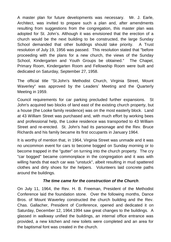A master plan for future developments was necessary. Mr. J. Earle, Architect, was invited to prepare such a plan and, after amendments resulting from suggestions from the congregation, this master plan was adopted for St. John's. Although it was envisioned that the erection of a church would be the next building to be constructed, the large Sunday School demanded that other buildings should take priority. A Trust resolution of July 19, 1956 was passed. This resolution stated that "before proceeding with the plans for a new church, the views of the Sunday School, Kindergarten and Youth Groups be obtained." The Chapel, Primary Room, Kindergarten Room and Fellowship Room were built and dedicated on Saturday, September 27, 1958.

The official title "St.John's Methodist Church, Virginia Street, Mount Waverley" was approved by the Leaders' Meeting and the Quarterly Meeting in 1959.

Council requirements for car parking precluded further expansions. St John's acquired two blocks of land east of the existing church property, but a house (the Looke family residence) was on the most easterly block. Land at 43 William Street was purchased and, with much effort by working bees and professional help, the Looke residence was transported to 43 William Street and re-erected. St. John's had its parsonage and the Rev. Bruce Richards and his family became its first occupants in January 1964.

It is worthy of mention that, in 1964, Virginia Street was unmade and it was no uncommon event for cars to become bogged on Sunday morning or to become trapped in the "gutter" on turning into the church property. The cry "car bogged" became commonplace in the congregation and it was with willing hands that each car was "unstuck", albeit resulting in mud spattered clothes and dirty shoes for the helpers. Volunteers laid concrete paths around the buildings.

#### *The time came for the construction of the Church*.

On July 11, 1964, the Rev. H. B. Freeman, President of the Methodist Conference laid the foundation stone. Over the following months, Dance Bros. of Mount Waverley constructed the church building and the Rev. Chas. Gallacher, President of Conference, opened and dedicated it on Saturday, December 12, 1964.1994 saw great changes to the buildings. A glassed in walkway unified the buildings, an internal office entrance was provided, a new kitchen and new toilets were completed and an area for the baptismal font was created in the church.